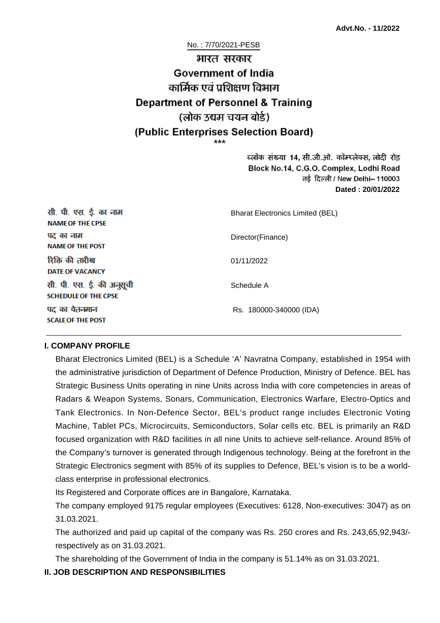# No. : 7/70/2021-PESB भारत सरकार **Government of India** कार्मिक एवं पशिक्षण विभाग **Department of Personnel & Training** (लोक उद्यम चयन बोर्ड) (Public Enterprises Selection Board)

ब्लॉक संख्या 14, सी.जी.ओ. कॉम्प्लेक्स, लोदी रोड Block No.14, C.G.O. Complex, Lodhi Road ਰई दिल्ली / New Delhi– 110003 **Dated : 20/01/2022**

| सी. पी. एस. ई. का नाम<br><b>NAME OF THE CPSE</b>         | <b>Bharat Electronics Limited (BEL)</b> |
|----------------------------------------------------------|-----------------------------------------|
| पद का नाम<br><b>NAME OF THE POST</b>                     | Director(Finance)                       |
| रिक्ति की तारीख<br><b>DATE OF VACANCY</b>                | 01/11/2022                              |
| सी. पी. एस. ई. की अनुसूची<br><b>SCHEDULE OF THE CPSE</b> | Schedule A                              |
| पद का वेतनमान<br><b>SCALE OF THE POST</b>                | Rs. 180000-340000 (IDA)                 |

#### **I. COMPANY PROFILE**

Bharat Electronics Limited (BEL) is a Schedule 'A' Navratna Company, established in 1954 with the administrative jurisdiction of Department of Defence Production, Ministry of Defence. BEL has Strategic Business Units operating in nine Units across India with core competencies in areas of Radars & Weapon Systems, Sonars, Communication, Electronics Warfare, Electro-Optics and Tank Electronics. In Non-Defence Sector, BEL's product range includes Electronic Voting Machine, Tablet PCs, Microcircuits, Semiconductors, Solar cells etc. BEL is primarily an R&D focused organization with R&D facilities in all nine Units to achieve self-reliance. Around 85% of the Company's turnover is generated through Indigenous technology. Being at the forefront in the Strategic Electronics segment with 85% of its supplies to Defence, BEL's vision is to be a worldclass enterprise in professional electronics.

Its Registered and Corporate offices are in Bangalore, Karnataka.

The company employed 9175 regular employees (Executives: 6128, Non-executives: 3047) as on 31.03.2021.

The authorized and paid up capital of the company was Rs. 250 crores and Rs. 243,65,92,943/ respectively as on 31.03.2021.

The shareholding of the Government of India in the company is 51.14% as on 31.03.2021.

## **II. JOB DESCRIPTION AND RESPONSIBILITIES**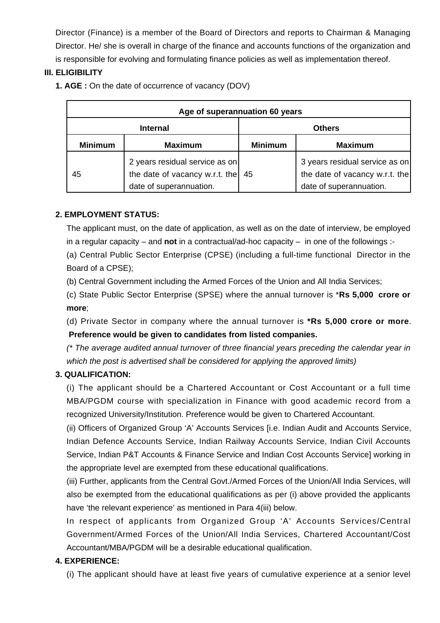Director (Finance) is a member of the Board of Directors and reports to Chairman & Managing Director. He/ she is overall in charge of the finance and accounts functions of the organization and is responsible for evolving and formulating finance policies as well as implementation thereof.

# **III. ELIGIBILITY**

**1. AGE :** On the date of occurrence of vacancy (DOV)

| Age of superannuation 60 years |                                                                                             |                |                                                                                             |  |
|--------------------------------|---------------------------------------------------------------------------------------------|----------------|---------------------------------------------------------------------------------------------|--|
| <b>Internal</b>                |                                                                                             | <b>Others</b>  |                                                                                             |  |
| <b>Minimum</b>                 | <b>Maximum</b>                                                                              | <b>Minimum</b> | <b>Maximum</b>                                                                              |  |
| 45                             | 2 years residual service as on<br>the date of vacancy w.r.t. the<br>date of superannuation. | 45             | 3 years residual service as on<br>the date of vacancy w.r.t. the<br>date of superannuation. |  |

# **2. EMPLOYMENT STATUS:**

The applicant must, on the date of application, as well as on the date of interview, be employed in a regular capacity – and **not** in a contractual/ad-hoc capacity – in one of the followings :-

(a) Central Public Sector Enterprise (CPSE) (including a full-time functional Director in the Board of a CPSE);

(b) Central Government including the Armed Forces of the Union and All India Services;

(c) State Public Sector Enterprise (SPSE) where the annual turnover is \***Rs 5,000 crore or more**;

(d) Private Sector in company where the annual turnover is **\*Rs 5,000 crore or more**.  **Preference would be given to candidates from listed companies.**

(\* The average audited annual turnover of three financial years preceding the calendar year in which the post is advertised shall be considered for applying the approved limits)

# **3. QUALIFICATION:**

(i) The applicant should be a Chartered Accountant or Cost Accountant or a full time MBA/PGDM course with specialization in Finance with good academic record from a recognized University/Institution. Preference would be given to Chartered Accountant.

(ii) Officers of Organized Group 'A' Accounts Services [i.e. Indian Audit and Accounts Service, Indian Defence Accounts Service, Indian Railway Accounts Service, Indian Civil Accounts Service, Indian P&T Accounts & Finance Service and Indian Cost Accounts Service] working in the appropriate level are exempted from these educational qualifications.

(iii) Further, applicants from the Central Govt./Armed Forces of the Union/All India Services, will also be exempted from the educational qualifications as per (i) above provided the applicants have 'the relevant experience' as mentioned in Para 4(iii) below.

In respect of applicants from Organized Group 'A' Accounts Services/Central Government/Armed Forces of the Union/All India Services, Chartered Accountant/Cost Accountant/MBA/PGDM will be a desirable educational qualification.

## **4. EXPERIENCE:**

(i) The applicant should have at least five years of cumulative experience at a senior level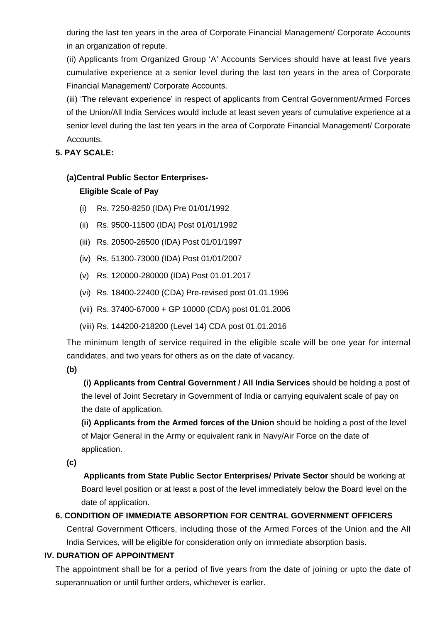during the last ten years in the area of Corporate Financial Management/ Corporate Accounts in an organization of repute.

(ii) Applicants from Organized Group 'A' Accounts Services should have at least five years cumulative experience at a senior level during the last ten years in the area of Corporate Financial Management/ Corporate Accounts.

(iii) 'The relevant experience' in respect of applicants from Central Government/Armed Forces of the Union/All India Services would include at least seven years of cumulative experience at a senior level during the last ten years in the area of Corporate Financial Management/ Corporate Accounts.

# **5. PAY SCALE:**

# **(a)Central Public Sector Enterprises-**

# **Eligible Scale of Pay**

- (i) Rs. 7250-8250 (IDA) Pre 01/01/1992
- (ii) Rs. 9500-11500 (IDA) Post 01/01/1992
- (iii) Rs. 20500-26500 (IDA) Post 01/01/1997
- (iv) Rs. 51300-73000 (IDA) Post 01/01/2007
- (v) Rs. 120000-280000 (IDA) Post 01.01.2017
- (vi) Rs. 18400-22400 (CDA) Pre-revised post 01.01.1996
- (vii) Rs. 37400-67000 + GP 10000 (CDA) post 01.01.2006
- (viii) Rs. 144200-218200 (Level 14) CDA post 01.01.2016

The minimum length of service required in the eligible scale will be one year for internal candidates, and two years for others as on the date of vacancy.

**(b)**

**(i) Applicants from Central Government / All India Services** should be holding a post of the level of Joint Secretary in Government of India or carrying equivalent scale of pay on the date of application.

**(ii) Applicants from the Armed forces of the Union** should be holding a post of the level of Major General in the Army or equivalent rank in Navy/Air Force on the date of application.

**(c)**

 **Applicants from State Public Sector Enterprises/ Private Sector** should be working at Board level position or at least a post of the level immediately below the Board level on the date of application.

# **6. CONDITION OF IMMEDIATE ABSORPTION FOR CENTRAL GOVERNMENT OFFICERS**

Central Government Officers, including those of the Armed Forces of the Union and the All India Services, will be eligible for consideration only on immediate absorption basis.

## **IV. DURATION OF APPOINTMENT**

The appointment shall be for a period of five years from the date of joining or upto the date of superannuation or until further orders, whichever is earlier.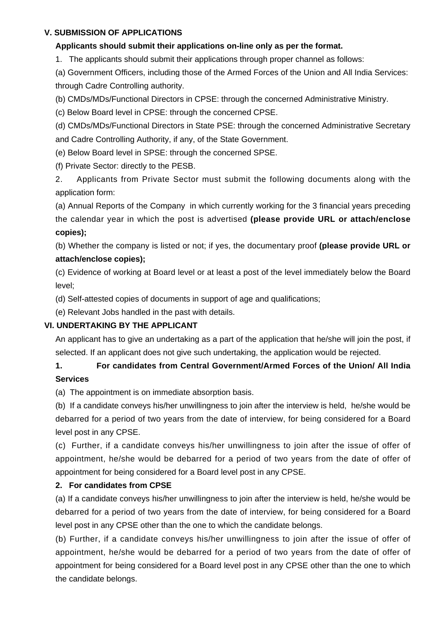## **V. SUBMISSION OF APPLICATIONS**

#### **Applicants should submit their applications on-line only as per the format.**

1. The applicants should submit their applications through proper channel as follows:

(a) Government Officers, including those of the Armed Forces of the Union and All India Services: through Cadre Controlling authority.

(b) CMDs/MDs/Functional Directors in CPSE: through the concerned Administrative Ministry.

(c) Below Board level in CPSE: through the concerned CPSE.

(d) CMDs/MDs/Functional Directors in State PSE: through the concerned Administrative Secretary and Cadre Controlling Authority, if any, of the State Government.

(e) Below Board level in SPSE: through the concerned SPSE.

(f) Private Sector: directly to the PESB.

2. Applicants from Private Sector must submit the following documents along with the application form:

(a) Annual Reports of the Company in which currently working for the 3 financial years preceding the calendar year in which the post is advertised **(please provide URL or attach/enclose copies);**

(b) Whether the company is listed or not; if yes, the documentary proof **(please provide URL or attach/enclose copies);**

(c) Evidence of working at Board level or at least a post of the level immediately below the Board level;

(d) Self-attested copies of documents in support of age and qualifications;

(e) Relevant Jobs handled in the past with details.

## **VI. UNDERTAKING BY THE APPLICANT**

An applicant has to give an undertaking as a part of the application that he/she will join the post, if selected. If an applicant does not give such undertaking, the application would be rejected.

# **1. For candidates from Central Government/Armed Forces of the Union/ All India Services**

(a) The appointment is on immediate absorption basis.

(b) If a candidate conveys his/her unwillingness to join after the interview is held, he/she would be debarred for a period of two years from the date of interview, for being considered for a Board level post in any CPSE.

(c) Further, if a candidate conveys his/her unwillingness to join after the issue of offer of appointment, he/she would be debarred for a period of two years from the date of offer of appointment for being considered for a Board level post in any CPSE.

## **2. For candidates from CPSE**

(a) If a candidate conveys his/her unwillingness to join after the interview is held, he/she would be debarred for a period of two years from the date of interview, for being considered for a Board level post in any CPSE other than the one to which the candidate belongs.

(b) Further, if a candidate conveys his/her unwillingness to join after the issue of offer of appointment, he/she would be debarred for a period of two years from the date of offer of appointment for being considered for a Board level post in any CPSE other than the one to which the candidate belongs.